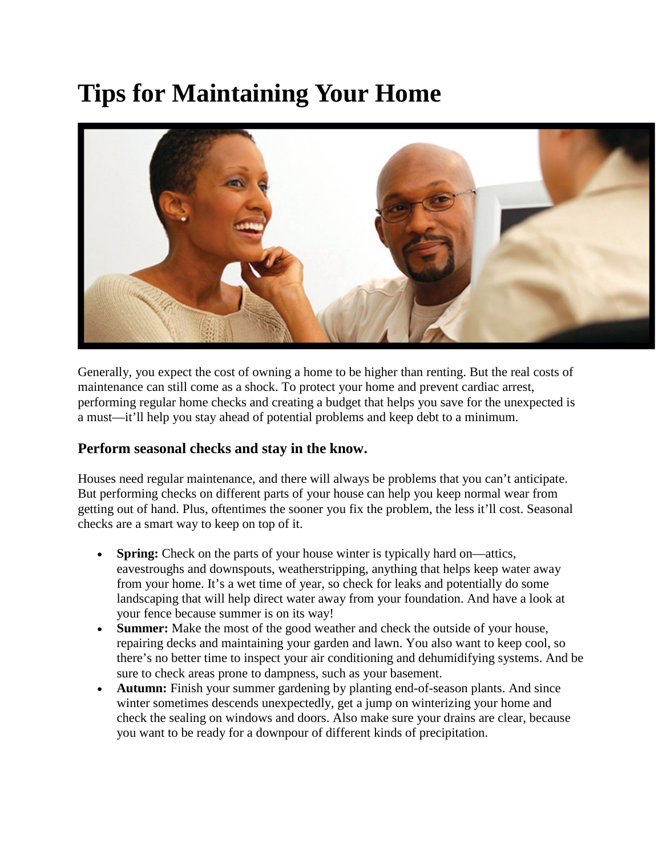## **Tips for Maintaining Your Home**



Generally, you expect the cost of owning a home to be higher than renting. But the real costs of maintenance can still come as a shock. To protect your home and prevent cardiac arrest, performing regular home checks and creating a budget that helps you save for the unexpected is a must—it'll help you stay ahead of potential problems and keep debt to a minimum.

## **Perform seasonal checks and stay in the know.**

Houses need regular maintenance, and there will always be problems that you can't anticipate. But performing checks on different parts of your house can help you keep normal wear from getting out of hand. Plus, oftentimes the sooner you fix the problem, the less it'll cost. Seasonal checks are a smart way to keep on top of it.

- **Spring:** Check on the parts of your house winter is typically hard on—attics, eavestroughs and downspouts, weatherstripping, anything that helps keep water away from your home. It's a wet time of year, so check for leaks and potentially do some landscaping that will help direct water away from your foundation. And have a look at your fence because summer is on its way!
- **Summer:** Make the most of the good weather and check the outside of your house, repairing decks and maintaining your garden and lawn. You also want to keep cool, so there's no better time to inspect your air conditioning and dehumidifying systems. And be sure to check areas prone to dampness, such as your basement.
- **Autumn:** Finish your summer gardening by planting end-of-season plants. And since winter sometimes descends unexpectedly, get a jump on winterizing your home and check the sealing on windows and doors. Also make sure your drains are clear, because you want to be ready for a downpour of different kinds of precipitation.